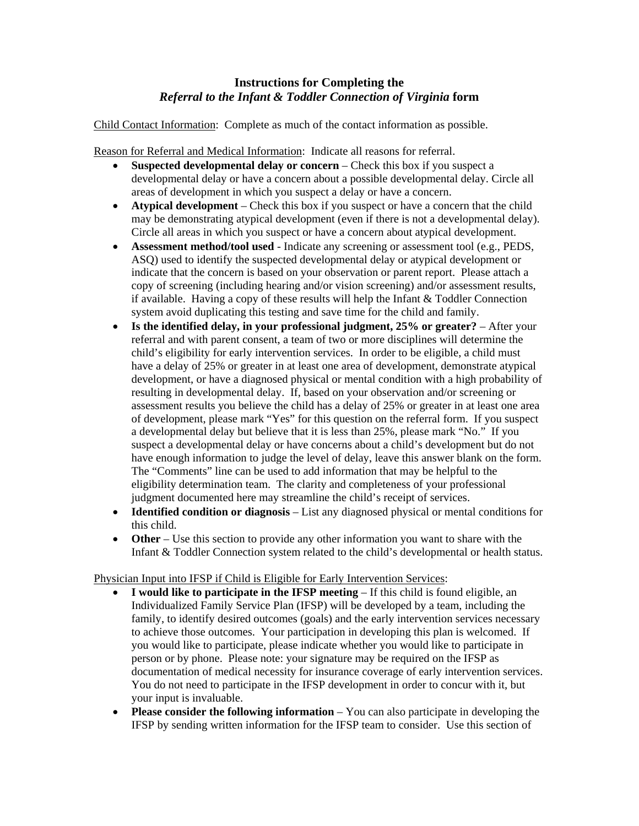## **Instructions for Completing the**  *Referral to the Infant & Toddler Connection of Virginia* **form**

Child Contact Information: Complete as much of the contact information as possible.

Reason for Referral and Medical Information: Indicate all reasons for referral.

- **Suspected developmental delay or concern** Check this box if you suspect a developmental delay or have a concern about a possible developmental delay. Circle all areas of development in which you suspect a delay or have a concern.
- **Atypical development** Check this box if you suspect or have a concern that the child may be demonstrating atypical development (even if there is not a developmental delay). Circle all areas in which you suspect or have a concern about atypical development.
- **Assessment method/tool used** Indicate any screening or assessment tool (e.g., PEDS, ASQ) used to identify the suspected developmental delay or atypical development or indicate that the concern is based on your observation or parent report. Please attach a copy of screening (including hearing and/or vision screening) and/or assessment results, if available. Having a copy of these results will help the Infant & Toddler Connection system avoid duplicating this testing and save time for the child and family.
- **Is the identified delay, in your professional judgment, 25% or greater?** After your referral and with parent consent, a team of two or more disciplines will determine the child's eligibility for early intervention services. In order to be eligible, a child must have a delay of 25% or greater in at least one area of development, demonstrate atypical development, or have a diagnosed physical or mental condition with a high probability of resulting in developmental delay. If, based on your observation and/or screening or assessment results you believe the child has a delay of 25% or greater in at least one area of development, please mark "Yes" for this question on the referral form. If you suspect a developmental delay but believe that it is less than 25%, please mark "No." If you suspect a developmental delay or have concerns about a child's development but do not have enough information to judge the level of delay, leave this answer blank on the form. The "Comments" line can be used to add information that may be helpful to the eligibility determination team. The clarity and completeness of your professional judgment documented here may streamline the child's receipt of services.
- **Identified condition or diagnosis** List any diagnosed physical or mental conditions for this child.
- **Other** Use this section to provide any other information you want to share with the Infant & Toddler Connection system related to the child's developmental or health status.

## Physician Input into IFSP if Child is Eligible for Early Intervention Services:

- **I would like to participate in the IFSP meeting** If this child is found eligible, an Individualized Family Service Plan (IFSP) will be developed by a team, including the family, to identify desired outcomes (goals) and the early intervention services necessary to achieve those outcomes. Your participation in developing this plan is welcomed. If you would like to participate, please indicate whether you would like to participate in person or by phone. Please note: your signature may be required on the IFSP as documentation of medical necessity for insurance coverage of early intervention services. You do not need to participate in the IFSP development in order to concur with it, but your input is invaluable.
- **Please consider the following information** You can also participate in developing the IFSP by sending written information for the IFSP team to consider. Use this section of